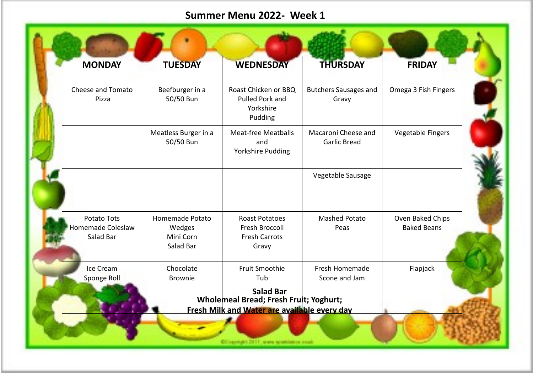## **Summer Menu 2022- Week 1**

| <b>MONDAY</b>                                        | <b>TUESDAY</b>                                      | <b>WEDNESDAY</b>                                                                       | <b>THURSDAY</b>                            | <b>FRIDAY</b>                          |
|------------------------------------------------------|-----------------------------------------------------|----------------------------------------------------------------------------------------|--------------------------------------------|----------------------------------------|
| Cheese and Tomato<br>Pizza                           | Beefburger in a<br>50/50 Bun                        | Roast Chicken or BBQ<br>Pulled Pork and<br>Yorkshire<br>Pudding                        | <b>Butchers Sausages and</b><br>Gravy      | Omega 3 Fish Fingers                   |
|                                                      | Meatless Burger in a<br>50/50 Bun                   | <b>Meat-free Meatballs</b><br>and<br>Yorkshire Pudding                                 | Macaroni Cheese and<br><b>Garlic Bread</b> | <b>Vegetable Fingers</b>               |
|                                                      |                                                     |                                                                                        | Vegetable Sausage                          |                                        |
| Potato Tots<br><b>Homemade Coleslaw</b><br>Salad Bar | Homemade Potato<br>Wedges<br>Mini Corn<br>Salad Bar | <b>Roast Potatoes</b><br>Fresh Broccoli<br><b>Fresh Carrots</b><br>Gravy               | <b>Mashed Potato</b><br>Peas               | Oven Baked Chips<br><b>Baked Beans</b> |
| Ice Cream<br>Sponge Roll                             | Chocolate<br><b>Brownie</b>                         | Fruit Smoothie<br>Tub<br><b>Salad Bar</b>                                              | Fresh Homemade<br>Scone and Jam            | Flapjack                               |
|                                                      |                                                     | Wholemeal Bread; Fresh Fruit; Yoghurt;<br>Fresh Milk and Water are available every day |                                            |                                        |